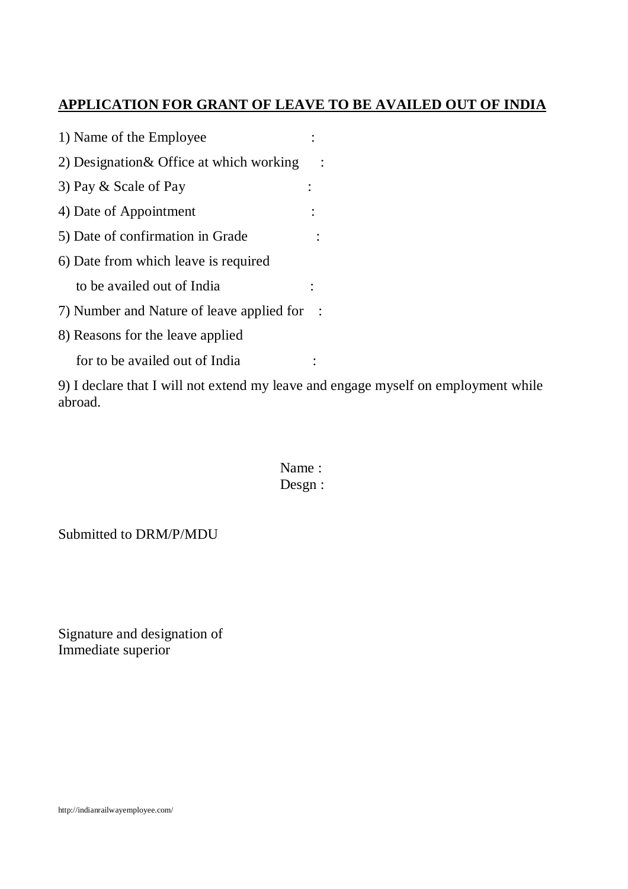## **APPLICATION FOR GRANT OF LEAVE TO BE AVAILED OUT OF INDIA**

| 1) Name of the Employee                   |  |
|-------------------------------------------|--|
| 2) Designation & Office at which working  |  |
| 3) Pay & Scale of Pay                     |  |
| 4) Date of Appointment                    |  |
| 5) Date of confirmation in Grade          |  |
| 6) Date from which leave is required      |  |
| to be availed out of India                |  |
| 7) Number and Nature of leave applied for |  |
| 8) Reasons for the leave applied          |  |
| for to be availed out of India            |  |

9) I declare that I will not extend my leave and engage myself on employment while abroad.

> Name : Desgn :

Submitted to DRM/P/MDU

Signature and designation of Immediate superior

http://indianrailwayemployee.com/